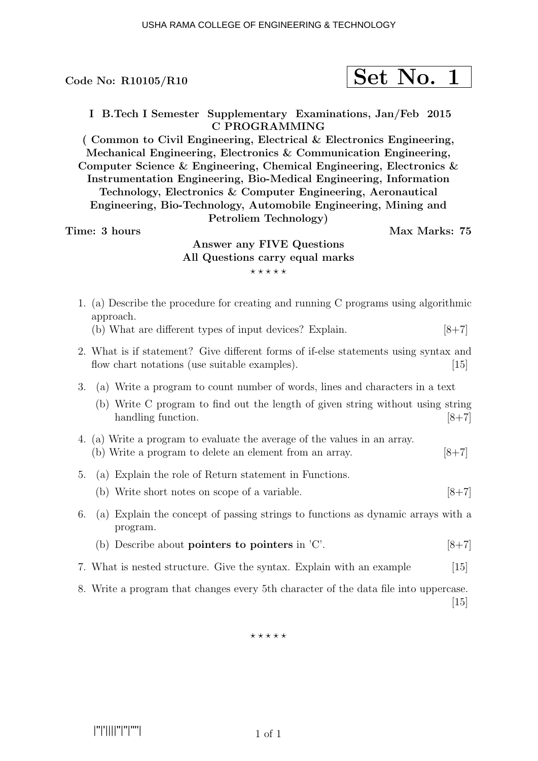Code No:  $R10105/R10$ 

$$
\fbox{Set No. 1}
$$

I B.Tech I Semester Supplementary Examinations, Jan/Feb 2015 C PROGRAMMING

( Common to Civil Engineering, Electrical & Electronics Engineering, Mechanical Engineering, Electronics & Communication Engineering, Computer Science & Engineering, Chemical Engineering, Electronics & Instrumentation Engineering, Bio-Medical Engineering, Information Technology, Electronics & Computer Engineering, Aeronautical Engineering, Bio-Technology, Automobile Engineering, Mining and Petroliem Technology)

### Time: 3 hours and the set of the Max Marks: 75

# Answer any FIVE Questions All Questions carry equal marks  $***$ \*\*

- 1. (a) Describe the procedure for creating and running C programs using algorithmic approach.
	- (b) What are different types of input devices? Explain.  $[8+7]$
- 2. What is if statement? Give different forms of if-else statements using syntax and flow chart notations (use suitable examples).  $[15]$
- 3. (a) Write a program to count number of words, lines and characters in a text
	- (b) Write C program to find out the length of given string without using string handling function. [8+7]
- 4. (a) Write a program to evaluate the average of the values in an array. (b) Write a program to delete an element from an array.  $[8+7]$
- 5. (a) Explain the role of Return statement in Functions.
	- (b) Write short notes on scope of a variable.  $[8+7]$
- 6. (a) Explain the concept of passing strings to functions as dynamic arrays with a program.
	- (b) Describe about **pointers to pointers** in  $\degree$ C'.  $[8+7]$
- 7. What is nested structure. Give the syntax. Explain with an example [15]
- 8. Write a program that changes every 5th character of the data file into uppercase. [15]

 $***$ \*\*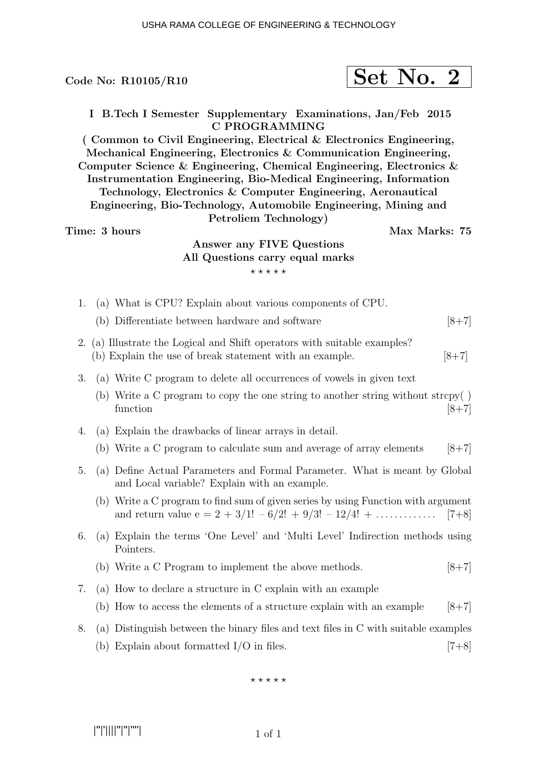|                                                                                                                                                                                                                                                                                                                                                                                                                                                                                                                                                                                                                                                    |  | Code No: $R10105/R10$                                                                                                                                    |  | Set No. 2 |           |
|----------------------------------------------------------------------------------------------------------------------------------------------------------------------------------------------------------------------------------------------------------------------------------------------------------------------------------------------------------------------------------------------------------------------------------------------------------------------------------------------------------------------------------------------------------------------------------------------------------------------------------------------------|--|----------------------------------------------------------------------------------------------------------------------------------------------------------|--|-----------|-----------|
| I B.Tech I Semester Supplementary Examinations, Jan/Feb 2015<br><b>C PROGRAMMING</b><br>(Common to Civil Engineering, Electrical & Electronics Engineering,<br>Mechanical Engineering, Electronics & Communication Engineering,<br>Computer Science & Engineering, Chemical Engineering, Electronics &<br>Instrumentation Engineering, Bio-Medical Engineering, Information<br>Technology, Electronics & Computer Engineering, Aeronautical<br>Engineering, Bio-Technology, Automobile Engineering, Mining and<br>Petroliem Technology)<br>Time: 3 hours<br>Max Marks: 75<br>Answer any FIVE Questions<br>All Questions carry equal marks<br>***** |  |                                                                                                                                                          |  |           |           |
| 1.                                                                                                                                                                                                                                                                                                                                                                                                                                                                                                                                                                                                                                                 |  | (a) What is CPU? Explain about various components of CPU.                                                                                                |  |           |           |
|                                                                                                                                                                                                                                                                                                                                                                                                                                                                                                                                                                                                                                                    |  | (b) Differentiate between hardware and software                                                                                                          |  |           | $[8 + 7]$ |
| 2.                                                                                                                                                                                                                                                                                                                                                                                                                                                                                                                                                                                                                                                 |  | (a) Illustrate the Logical and Shift operators with suitable examples?<br>(b) Explain the use of break statement with an example.                        |  |           | $[8+7]$   |
| 3.                                                                                                                                                                                                                                                                                                                                                                                                                                                                                                                                                                                                                                                 |  | (a) Write C program to delete all occurrences of vowels in given text                                                                                    |  |           |           |
|                                                                                                                                                                                                                                                                                                                                                                                                                                                                                                                                                                                                                                                    |  | (b) Write a C program to copy the one string to another string without strcpy()<br>function                                                              |  |           | $[8+7]$   |
| 4.                                                                                                                                                                                                                                                                                                                                                                                                                                                                                                                                                                                                                                                 |  | (a) Explain the drawbacks of linear arrays in detail.                                                                                                    |  |           |           |
|                                                                                                                                                                                                                                                                                                                                                                                                                                                                                                                                                                                                                                                    |  | (b) Write a C program to calculate sum and average of array elements                                                                                     |  |           | $[8+7]$   |
|                                                                                                                                                                                                                                                                                                                                                                                                                                                                                                                                                                                                                                                    |  | 5. (a) Define Actual Parameters and Formal Parameter. What is meant by Global<br>and Local variable? Explain with an example.                            |  |           |           |
|                                                                                                                                                                                                                                                                                                                                                                                                                                                                                                                                                                                                                                                    |  | (b) Write a C program to find sum of given series by using Function with argument<br>and return value $e = 2 + 3/1! - 6/2! + 9/3! - 12/4! + \dots$ [7+8] |  |           |           |
| 6.                                                                                                                                                                                                                                                                                                                                                                                                                                                                                                                                                                                                                                                 |  | (a) Explain the terms 'One Level' and 'Multi Level' Indirection methods using<br>Pointers.                                                               |  |           |           |
|                                                                                                                                                                                                                                                                                                                                                                                                                                                                                                                                                                                                                                                    |  | (b) Write a C Program to implement the above methods.                                                                                                    |  |           | $[8+7]$   |
| 7.                                                                                                                                                                                                                                                                                                                                                                                                                                                                                                                                                                                                                                                 |  | (a) How to declare a structure in C explain with an example                                                                                              |  |           |           |
|                                                                                                                                                                                                                                                                                                                                                                                                                                                                                                                                                                                                                                                    |  | (b) How to access the elements of a structure explain with an example                                                                                    |  |           | $[8+7]$   |

8. (a) Distinguish between the binary files and text files in C with suitable examples (b) Explain about formatted  $I/O$  in files.  $[7+8]$ 

 $***$ \*\*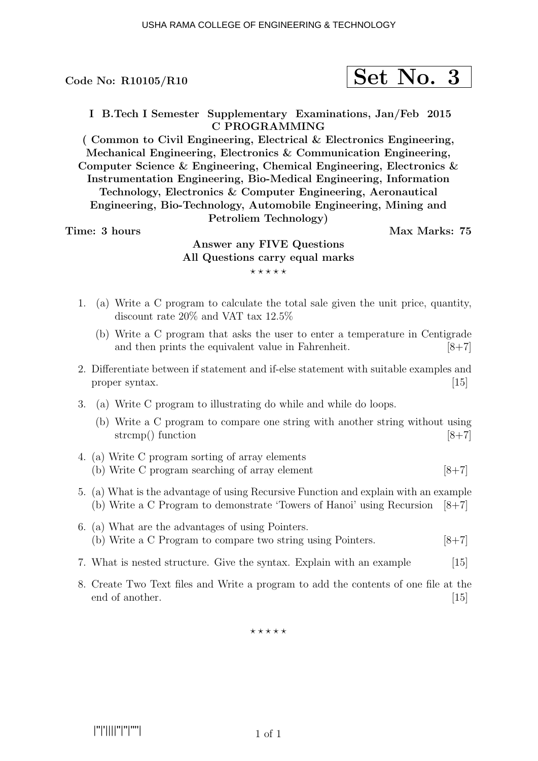Code No:  $R10105/R10$ 

$$
\fbox{Set No. 3}
$$

I B.Tech I Semester Supplementary Examinations, Jan/Feb 2015 C PROGRAMMING

( Common to Civil Engineering, Electrical & Electronics Engineering, Mechanical Engineering, Electronics & Communication Engineering, Computer Science & Engineering, Chemical Engineering, Electronics & Instrumentation Engineering, Bio-Medical Engineering, Information Technology, Electronics & Computer Engineering, Aeronautical Engineering, Bio-Technology, Automobile Engineering, Mining and Petroliem Technology)

### Time: 3 hours and the set of the Max Marks: 75

# Answer any FIVE Questions All Questions carry equal marks  $***$ \*\*

- 1. (a) Write a C program to calculate the total sale given the unit price, quantity, discount rate 20% and VAT tax 12.5%
	- (b) Write a C program that asks the user to enter a temperature in Centigrade and then prints the equivalent value in Fahrenheit.  $[8+7]$
- 2. Differentiate between if statement and if-else statement with suitable examples and proper syntax. [15]
- 3. (a) Write C program to illustrating do while and while do loops.
	- (b) Write a C program to compare one string with another string without using strcmp() function  $[8+7]$
- 4. (a) Write C program sorting of array elements (b) Write C program searching of array element  $[8+7]$
- 5. (a) What is the advantage of using Recursive Function and explain with an example (b) Write a C Program to demonstrate 'Towers of Hanoi' using Recursion  $[8+7]$
- 6. (a) What are the advantages of using Pointers. (b) Write a C Program to compare two string using Pointers.  $[8+7]$
- 7. What is nested structure. Give the syntax. Explain with an example [15]
- 8. Create Two Text files and Write a program to add the contents of one file at the end of another. [15]

 $\star\star\star\star\star$